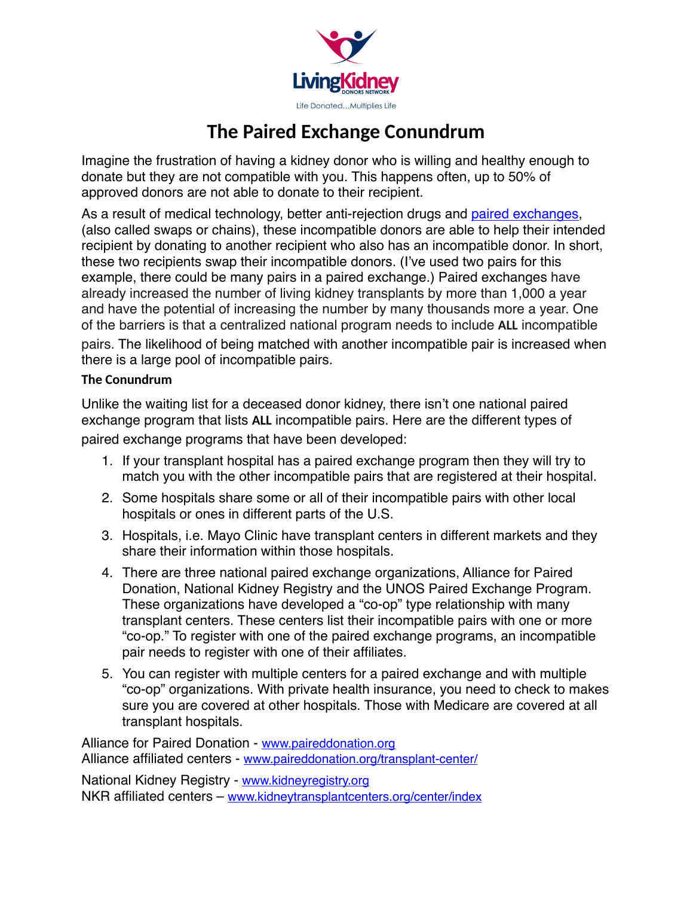

## **The Paired Exchange Conundrum**

Imagine the frustration of having a kidney donor who is willing and healthy enough to donate but they are not compatible with you. This happens often, up to 50% of approved donors are not able to donate to their recipient.

As a result of medical technology, better anti-rejection drugs and [paired exchanges](http://www.lkdn.org/LKDN_Paired_Exchanges.pdf), (also called swaps or chains), these incompatible donors are able to help their intended recipient by donating to another recipient who also has an incompatible donor. In short, these two recipients swap their incompatible donors. (I've used two pairs for this example, there could be many pairs in a paired exchange.) Paired exchanges have already increased the number of living kidney transplants by more than 1,000 a year and have the potential of increasing the number by many thousands more a year. One of the barriers is that a centralized national program needs to include **ALL** incompatible

pairs. The likelihood of being matched with another incompatible pair is increased when there is a large pool of incompatible pairs.

## **The Conundrum**

Unlike the waiting list for a deceased donor kidney, there isn't one national paired exchange program that lists **ALL** incompatible pairs. Here are the different types of paired exchange programs that have been developed:

- 1. If your transplant hospital has a paired exchange program then they will try to match you with the other incompatible pairs that are registered at their hospital.
- 2. Some hospitals share some or all of their incompatible pairs with other local hospitals or ones in different parts of the U.S.
- 3. Hospitals, i.e. Mayo Clinic have transplant centers in different markets and they share their information within those hospitals.
- 4. There are three national paired exchange organizations, Alliance for Paired Donation, National Kidney Registry and the UNOS Paired Exchange Program. These organizations have developed a "co-op" type relationship with many transplant centers. These centers list their incompatible pairs with one or more "co-op." To register with one of the paired exchange programs, an incompatible pair needs to register with one of their affiliates.
- 5. You can register with multiple centers for a paired exchange and with multiple "co-op" organizations. With private health insurance, you need to check to makes sure you are covered at other hospitals. Those with Medicare are covered at all transplant hospitals.

Alliance for Paired Donation - [www.paireddonation.org](http://www.paireddonation.org) Alliance affiliated centers - [www.paireddonation.org/transplant-center/](http://www.paireddonation.org/transplant-center/)

National Kidney Registry - [www.kidneyregistry.org](http://www.kidneyregistry.org) NKR affiliated centers – [www.kidneytransplantcenters.org/center/index](http://www.kidneytransplantcenters.org/center/index)